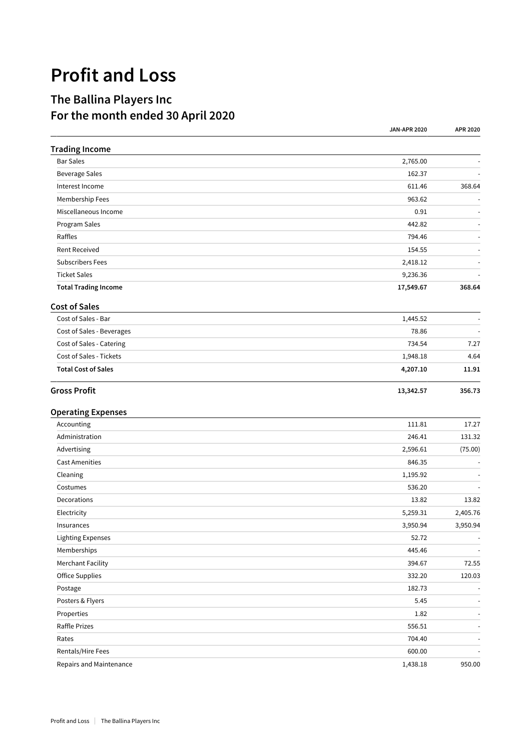## **Profit and Loss**

## **The Ballina Players Inc For the month ended 30 April 2020**

|                             | <b>JAN-APR 2020</b> | APR 2020                 |
|-----------------------------|---------------------|--------------------------|
| <b>Trading Income</b>       |                     |                          |
| <b>Bar Sales</b>            | 2,765.00            |                          |
| <b>Beverage Sales</b>       | 162.37              |                          |
| Interest Income             | 611.46              | 368.64                   |
| Membership Fees             | 963.62              |                          |
| Miscellaneous Income        | 0.91                |                          |
| Program Sales               | 442.82              |                          |
| Raffles                     | 794.46              |                          |
| <b>Rent Received</b>        | 154.55              |                          |
| <b>Subscribers Fees</b>     | 2,418.12            |                          |
| <b>Ticket Sales</b>         | 9,236.36            |                          |
| <b>Total Trading Income</b> | 17,549.67           | 368.64                   |
| <b>Cost of Sales</b>        |                     |                          |
| Cost of Sales - Bar         | 1,445.52            |                          |
| Cost of Sales - Beverages   | 78.86               |                          |
| Cost of Sales - Catering    | 734.54              | 7.27                     |
| Cost of Sales - Tickets     | 1,948.18            | 4.64                     |
| <b>Total Cost of Sales</b>  | 4,207.10            | 11.91                    |
| <b>Gross Profit</b>         | 13,342.57           | 356.73                   |
| <b>Operating Expenses</b>   |                     |                          |
| Accounting                  | 111.81              | 17.27                    |
| Administration              | 246.41              | 131.32                   |
| Advertising                 | 2,596.61            | (75.00)                  |
| <b>Cast Amenities</b>       | 846.35              |                          |
| Cleaning                    | 1,195.92            |                          |
| Costumes                    | 536.20              |                          |
| Decorations                 | 13.82               | 13.82                    |
| Electricity                 | 5,259.31            | 2,405.76                 |
| Insurances                  | 3,950.94            | 3,950.94                 |
| Lighting Expenses           | 52.72               |                          |
| Memberships                 | 445.46              |                          |
| <b>Merchant Facility</b>    | 394.67              | 72.55                    |
| <b>Office Supplies</b>      | 332.20              | 120.03                   |
| Postage                     | 182.73              | $\overline{\phantom{a}}$ |
| Posters & Flyers            | 5.45                |                          |
| Properties                  | 1.82                |                          |
| Raffle Prizes               | 556.51              |                          |
| Rates                       | 704.40              |                          |
| Rentals/Hire Fees           | 600.00              |                          |
| Repairs and Maintenance     | 1,438.18            | 950.00                   |